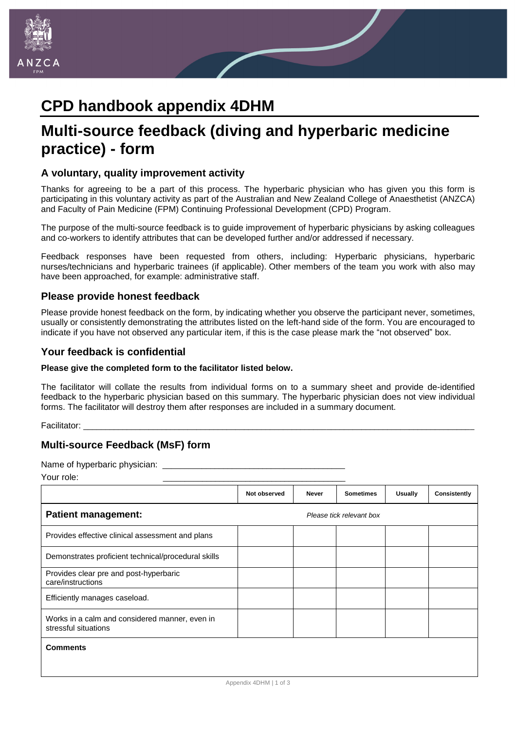

# **CPD handbook appendix 4DHM**

## **Multi-source feedback (diving and hyperbaric medicine practice) - form**

### **A voluntary, quality improvement activity**

Thanks for agreeing to be a part of this process. The hyperbaric physician who has given you this form is participating in this voluntary activity as part of the Australian and New Zealand College of Anaesthetist (ANZCA) and Faculty of Pain Medicine (FPM) Continuing Professional Development (CPD) Program.

The purpose of the multi-source feedback is to guide improvement of hyperbaric physicians by asking colleagues and co-workers to identify attributes that can be developed further and/or addressed if necessary.

Feedback responses have been requested from others, including: Hyperbaric physicians, hyperbaric nurses/technicians and hyperbaric trainees (if applicable). Other members of the team you work with also may have been approached, for example: administrative staff.

#### **Please provide honest feedback**

Please provide honest feedback on the form, by indicating whether you observe the participant never, sometimes, usually or consistently demonstrating the attributes listed on the left-hand side of the form. You are encouraged to indicate if you have not observed any particular item, if this is the case please mark the "not observed" box.

#### **Your feedback is confidential**

#### **Please give the completed form to the facilitator listed below.**

The facilitator will collate the results from individual forms on to a summary sheet and provide de-identified feedback to the hyperbaric physician based on this summary. The hyperbaric physician does not view individual forms. The facilitator will destroy them after responses are included in a summary document.

Facilitator: \_\_\_\_\_\_\_\_\_\_\_\_\_\_\_\_\_\_\_\_\_\_\_\_\_\_\_\_\_\_\_\_\_\_\_\_\_\_\_\_\_\_\_\_\_\_\_\_\_\_\_\_\_\_\_\_\_\_\_\_\_\_\_\_\_\_\_\_\_\_\_\_\_\_\_\_\_\_\_\_\_\_\_\_\_\_\_\_\_\_

### **Multi-source Feedback (MsF) form**

Name of hyperbaric physician:

Your role: \_\_\_\_\_\_\_\_\_\_\_\_\_\_\_\_\_\_\_\_\_\_\_\_\_\_\_\_\_\_\_\_\_\_\_\_\_\_\_\_\_\_

|                                                                        | Not observed             | <b>Never</b> | <b>Sometimes</b> | <b>Usually</b> | Consistently |  |
|------------------------------------------------------------------------|--------------------------|--------------|------------------|----------------|--------------|--|
| <b>Patient management:</b>                                             | Please tick relevant box |              |                  |                |              |  |
| Provides effective clinical assessment and plans                       |                          |              |                  |                |              |  |
| Demonstrates proficient technical/procedural skills                    |                          |              |                  |                |              |  |
| Provides clear pre and post-hyperbaric<br>care/instructions            |                          |              |                  |                |              |  |
| Efficiently manages caseload.                                          |                          |              |                  |                |              |  |
| Works in a calm and considered manner, even in<br>stressful situations |                          |              |                  |                |              |  |
| <b>Comments</b>                                                        |                          |              |                  |                |              |  |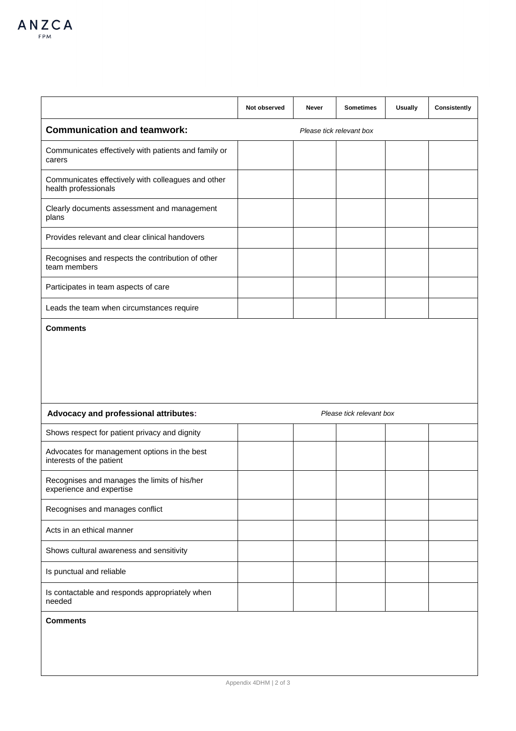|                                                                            | Not observed             | Never | <b>Sometimes</b>         | <b>Usually</b> | Consistently |  |
|----------------------------------------------------------------------------|--------------------------|-------|--------------------------|----------------|--------------|--|
| <b>Communication and teamwork:</b>                                         | Please tick relevant box |       |                          |                |              |  |
| Communicates effectively with patients and family or<br>carers             |                          |       |                          |                |              |  |
| Communicates effectively with colleagues and other<br>health professionals |                          |       |                          |                |              |  |
| Clearly documents assessment and management<br>plans                       |                          |       |                          |                |              |  |
| Provides relevant and clear clinical handovers                             |                          |       |                          |                |              |  |
| Recognises and respects the contribution of other<br>team members          |                          |       |                          |                |              |  |
| Participates in team aspects of care                                       |                          |       |                          |                |              |  |
| Leads the team when circumstances require                                  |                          |       |                          |                |              |  |
|                                                                            |                          |       |                          |                |              |  |
| Advocacy and professional attributes:                                      |                          |       | Please tick relevant box |                |              |  |
| Shows respect for patient privacy and dignity                              |                          |       |                          |                |              |  |
| Advocates for management options in the best<br>interests of the patient   |                          |       |                          |                |              |  |
| Recognises and manages the limits of his/her<br>experience and expertise   |                          |       |                          |                |              |  |
| Recognises and manages conflict                                            |                          |       |                          |                |              |  |
| Acts in an ethical manner                                                  |                          |       |                          |                |              |  |
| Shows cultural awareness and sensitivity                                   |                          |       |                          |                |              |  |
| Is punctual and reliable                                                   |                          |       |                          |                |              |  |
| Is contactable and responds appropriately when<br>needed                   |                          |       |                          |                |              |  |
| <b>Comments</b>                                                            |                          |       |                          |                |              |  |
|                                                                            |                          |       |                          |                |              |  |